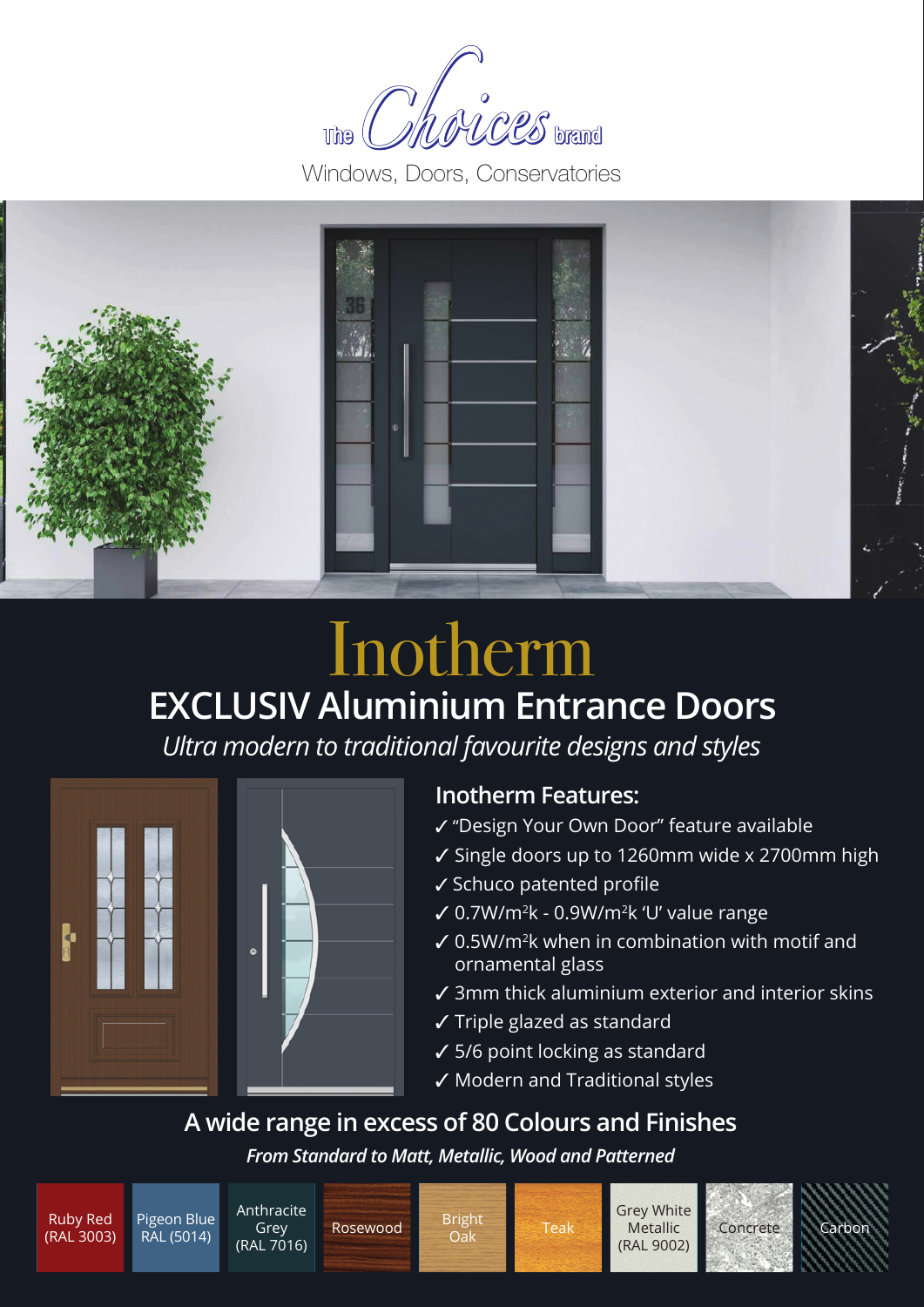MOLCES brand **The** 

Windows, Doors, Conservatories



## **EXCLUSIV Aluminium Entrance Doors** Inotherm

*Ultra modern to traditional favourite designs and styles*



### **Inotherm Features:**

- 3 "Design Your Own Door" feature available
- $\checkmark$  Single doors up to 1260mm wide x 2700mm high
- $\checkmark$  Schuco patented profile
- $\sqrt{0.7W/m^2k}$  0.9W/m<sup>2</sup>k 'U' value range
- $\checkmark$  0.5W/m<sup>2</sup>k when in combination with motif and ornamental glass
- $\checkmark$  3mm thick aluminium exterior and interior skins
- $\checkmark$  Triple glazed as standard
- $\checkmark$  5/6 point locking as standard
- $\checkmark$  Modern and Traditional styles

**A wide range in excess of 80 Colours and Finishes** 

*From Standard to Matt, Metallic, Wood and Patterned*

Pigeon Blue RAL (5014)

Anthracite Grey (RAL 7016)

Rosewood Bright<br>Oak



Teak Metallic Concrete Grey White Metallic (RAL 9002)